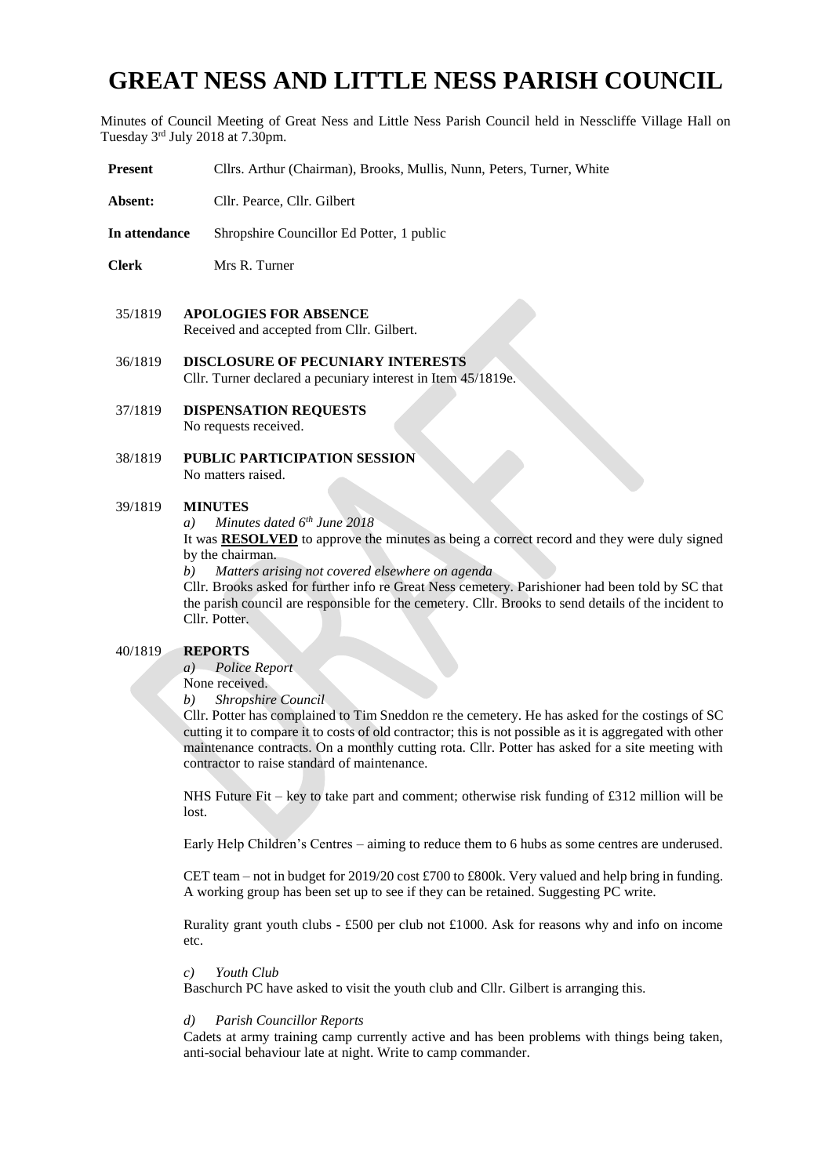# **GREAT NESS AND LITTLE NESS PARISH COUNCIL**

Minutes of Council Meeting of Great Ness and Little Ness Parish Council held in Nesscliffe Village Hall on Tuesday 3rd July 2018 at 7.30pm.

- **Present** Cllrs. Arthur (Chairman), Brooks, Mullis, Nunn, Peters, Turner, White
- Absent: Cllr. Pearce, Cllr. Gilbert
- **In attendance** Shropshire Councillor Ed Potter, 1 public
- **Clerk** Mrs R. Turner
- 35/1819 **APOLOGIES FOR ABSENCE**  Received and accepted from Cllr. Gilbert.
- 36/1819 **DISCLOSURE OF PECUNIARY INTERESTS** Cllr. Turner declared a pecuniary interest in Item 45/1819e.
- 37/1819 **DISPENSATION REQUESTS**  No requests received.
- 38/1819 **PUBLIC PARTICIPATION SESSION** No matters raised.

## 39/1819 **MINUTES**

*a) Minutes dated 6th June 2018*

It was **RESOLVED** to approve the minutes as being a correct record and they were duly signed by the chairman.

*b) Matters arising not covered elsewhere on agenda*

Cllr. Brooks asked for further info re Great Ness cemetery. Parishioner had been told by SC that the parish council are responsible for the cemetery. Cllr. Brooks to send details of the incident to Cllr. Potter.

## 40/1819 **REPORTS**

*a) Police Report* 

None received.

*b) Shropshire Council* 

Cllr. Potter has complained to Tim Sneddon re the cemetery. He has asked for the costings of SC cutting it to compare it to costs of old contractor; this is not possible as it is aggregated with other maintenance contracts. On a monthly cutting rota. Cllr. Potter has asked for a site meeting with contractor to raise standard of maintenance.

NHS Future Fit – key to take part and comment; otherwise risk funding of £312 million will be lost.

Early Help Children's Centres – aiming to reduce them to 6 hubs as some centres are underused.

CET team – not in budget for 2019/20 cost £700 to £800k. Very valued and help bring in funding. A working group has been set up to see if they can be retained. Suggesting PC write.

Rurality grant youth clubs - £500 per club not £1000. Ask for reasons why and info on income etc.

## *c) Youth Club*

Baschurch PC have asked to visit the youth club and Cllr. Gilbert is arranging this.

#### *d) Parish Councillor Reports*

Cadets at army training camp currently active and has been problems with things being taken, anti-social behaviour late at night. Write to camp commander.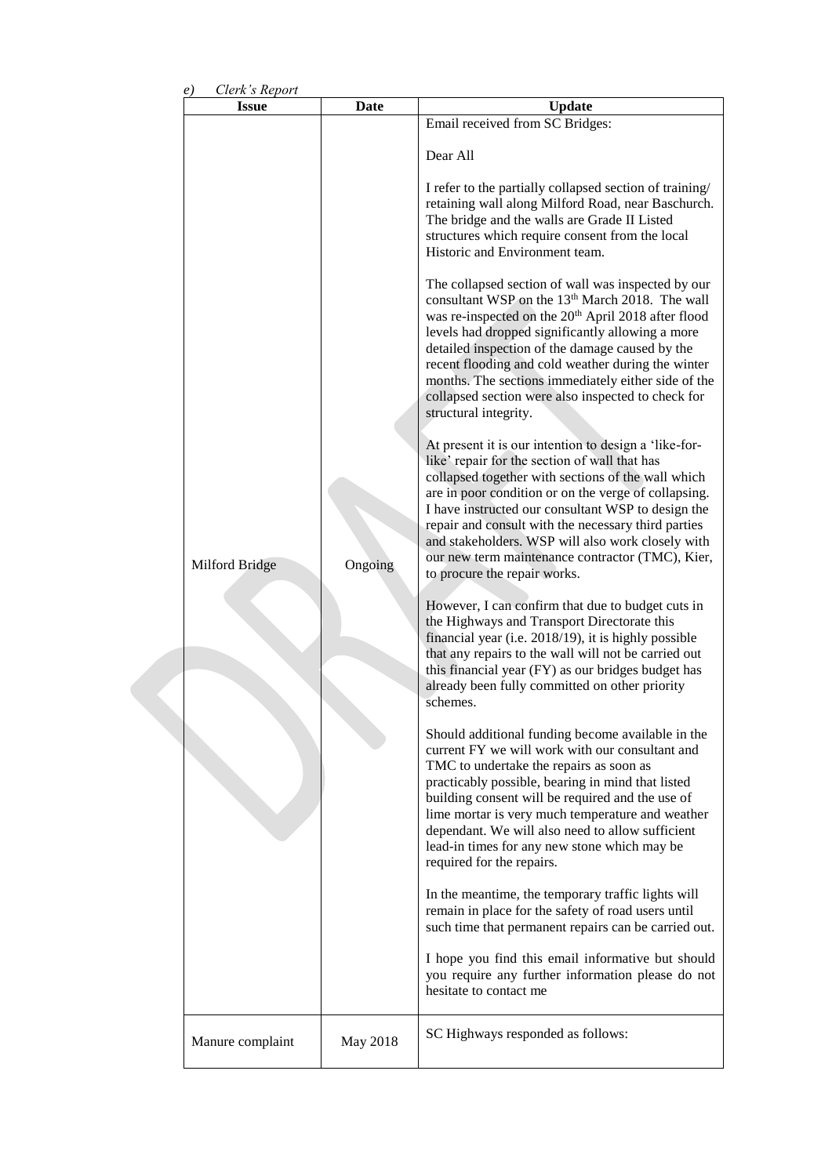|                                                        |                 | Email received from SC Bridges:                                                                                                                                                                                                                                                                                                                                                                                                                                                                                                                                                                                                                                                                                                                                                                                                                                                                                                                                                                                                                                                                                                                                                                                                                                                                                                                                                                                                                                                                                                                                                      |  |  |
|--------------------------------------------------------|-----------------|--------------------------------------------------------------------------------------------------------------------------------------------------------------------------------------------------------------------------------------------------------------------------------------------------------------------------------------------------------------------------------------------------------------------------------------------------------------------------------------------------------------------------------------------------------------------------------------------------------------------------------------------------------------------------------------------------------------------------------------------------------------------------------------------------------------------------------------------------------------------------------------------------------------------------------------------------------------------------------------------------------------------------------------------------------------------------------------------------------------------------------------------------------------------------------------------------------------------------------------------------------------------------------------------------------------------------------------------------------------------------------------------------------------------------------------------------------------------------------------------------------------------------------------------------------------------------------------|--|--|
| Clerk's Report<br>e)<br><b>Issue</b><br>Milford Bridge | Date<br>Ongoing | <b>Update</b><br>Dear All<br>I refer to the partially collapsed section of training/<br>retaining wall along Milford Road, near Baschurch.<br>The bridge and the walls are Grade II Listed<br>structures which require consent from the local<br>Historic and Environment team.<br>The collapsed section of wall was inspected by our<br>consultant WSP on the 13 <sup>th</sup> March 2018. The wall<br>was re-inspected on the 20 <sup>th</sup> April 2018 after flood<br>levels had dropped significantly allowing a more<br>detailed inspection of the damage caused by the<br>recent flooding and cold weather during the winter<br>months. The sections immediately either side of the<br>collapsed section were also inspected to check for<br>structural integrity.<br>At present it is our intention to design a 'like-for-<br>like' repair for the section of wall that has<br>collapsed together with sections of the wall which<br>are in poor condition or on the verge of collapsing.<br>I have instructed our consultant WSP to design the<br>repair and consult with the necessary third parties<br>and stakeholders. WSP will also work closely with<br>our new term maintenance contractor (TMC), Kier,<br>to procure the repair works.<br>However, I can confirm that due to budget cuts in<br>the Highways and Transport Directorate this<br>financial year (i.e. 2018/19), it is highly possible<br>that any repairs to the wall will not be carried out<br>this financial year (FY) as our bridges budget has<br>already been fully committed on other priority |  |  |
|                                                        |                 | schemes.<br>Should additional funding become available in the<br>current FY we will work with our consultant and<br>TMC to undertake the repairs as soon as<br>practicably possible, bearing in mind that listed<br>building consent will be required and the use of<br>lime mortar is very much temperature and weather<br>dependant. We will also need to allow sufficient<br>lead-in times for any new stone which may be<br>required for the repairs.                                                                                                                                                                                                                                                                                                                                                                                                                                                                                                                                                                                                                                                                                                                                                                                                                                                                                                                                                                                                                                                                                                                            |  |  |
|                                                        |                 | In the meantime, the temporary traffic lights will<br>remain in place for the safety of road users until<br>such time that permanent repairs can be carried out.                                                                                                                                                                                                                                                                                                                                                                                                                                                                                                                                                                                                                                                                                                                                                                                                                                                                                                                                                                                                                                                                                                                                                                                                                                                                                                                                                                                                                     |  |  |
|                                                        |                 | I hope you find this email informative but should<br>you require any further information please do not<br>hesitate to contact me                                                                                                                                                                                                                                                                                                                                                                                                                                                                                                                                                                                                                                                                                                                                                                                                                                                                                                                                                                                                                                                                                                                                                                                                                                                                                                                                                                                                                                                     |  |  |
| Manure complaint                                       | May 2018        | SC Highways responded as follows:                                                                                                                                                                                                                                                                                                                                                                                                                                                                                                                                                                                                                                                                                                                                                                                                                                                                                                                                                                                                                                                                                                                                                                                                                                                                                                                                                                                                                                                                                                                                                    |  |  |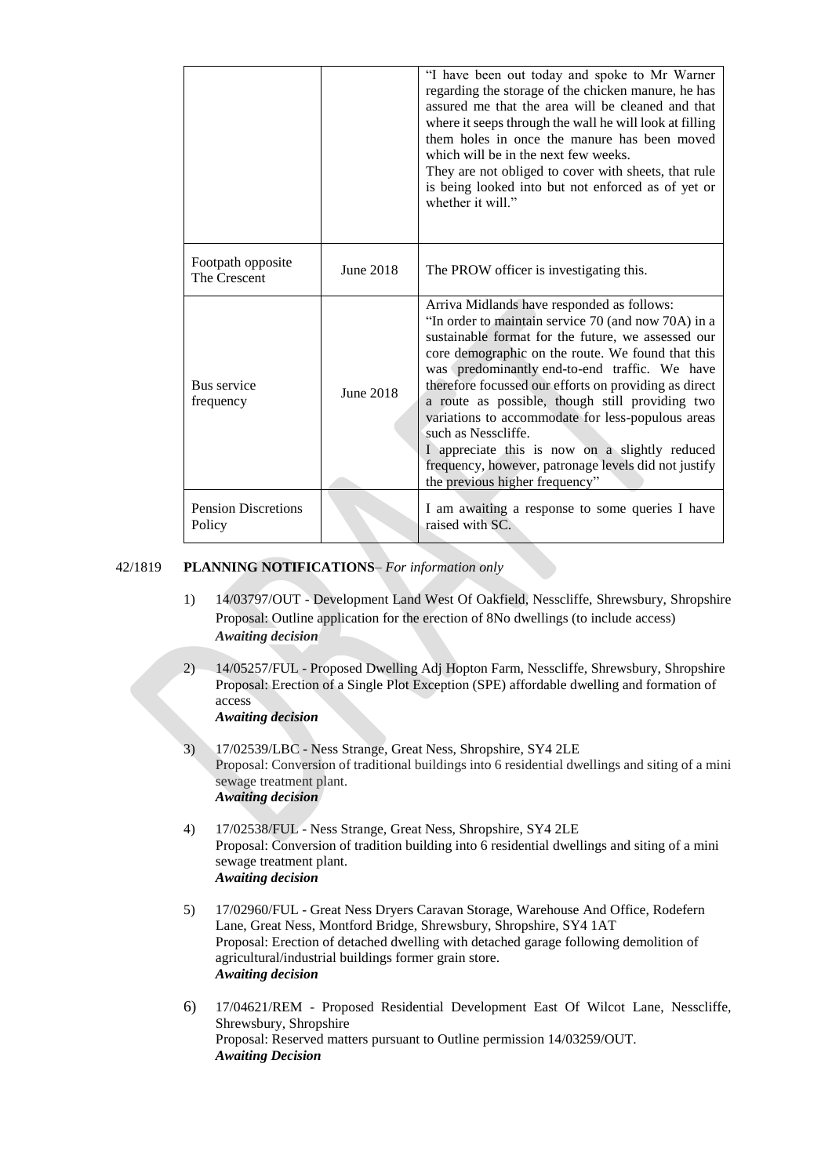|                                      |           | "I have been out today and spoke to Mr Warner<br>regarding the storage of the chicken manure, he has<br>assured me that the area will be cleaned and that<br>where it seeps through the wall he will look at filling<br>them holes in once the manure has been moved<br>which will be in the next few weeks.<br>They are not obliged to cover with sheets, that rule<br>is being looked into but not enforced as of yet or<br>whether it will."                                                                                                                                                   |  |
|--------------------------------------|-----------|---------------------------------------------------------------------------------------------------------------------------------------------------------------------------------------------------------------------------------------------------------------------------------------------------------------------------------------------------------------------------------------------------------------------------------------------------------------------------------------------------------------------------------------------------------------------------------------------------|--|
| Footpath opposite<br>The Crescent    | June 2018 | The PROW officer is investigating this.                                                                                                                                                                                                                                                                                                                                                                                                                                                                                                                                                           |  |
| Bus service<br>frequency             | June 2018 | Arriva Midlands have responded as follows:<br>"In order to maintain service 70 (and now 70A) in a<br>sustainable format for the future, we assessed our<br>core demographic on the route. We found that this<br>was predominantly end-to-end traffic. We have<br>therefore focussed our efforts on providing as direct<br>a route as possible, though still providing two<br>variations to accommodate for less-populous areas<br>such as Nesscliffe.<br>I appreciate this is now on a slightly reduced<br>frequency, however, patronage levels did not justify<br>the previous higher frequency" |  |
| <b>Pension Discretions</b><br>Policy |           | I am awaiting a response to some queries I have<br>raised with SC.                                                                                                                                                                                                                                                                                                                                                                                                                                                                                                                                |  |

# 42/1819 **PLANNING NOTIFICATIONS**– *For information only*

- 1) 14/03797/OUT Development Land West Of Oakfield, Nesscliffe, Shrewsbury, Shropshire Proposal: Outline application for the erection of 8No dwellings (to include access) *Awaiting decision*
- 2) 14/05257/FUL Proposed Dwelling Adj Hopton Farm, Nesscliffe, Shrewsbury, Shropshire Proposal: Erection of a Single Plot Exception (SPE) affordable dwelling and formation of access *Awaiting decision*
- 3) 17/02539/LBC Ness Strange, Great Ness, Shropshire, SY4 2LE Proposal: Conversion of traditional buildings into 6 residential dwellings and siting of a mini sewage treatment plant. *Awaiting decision*
- 4) 17/02538/FUL Ness Strange, Great Ness, Shropshire, SY4 2LE Proposal: Conversion of tradition building into 6 residential dwellings and siting of a mini sewage treatment plant. *Awaiting decision*
- 5) 17/02960/FUL Great Ness Dryers Caravan Storage, Warehouse And Office, Rodefern Lane, Great Ness, Montford Bridge, Shrewsbury, Shropshire, SY4 1AT Proposal: Erection of detached dwelling with detached garage following demolition of agricultural/industrial buildings former grain store. *Awaiting decision*
- 6) 17/04621/REM Proposed Residential Development East Of Wilcot Lane, Nesscliffe, Shrewsbury, Shropshire Proposal: Reserved matters pursuant to Outline permission 14/03259/OUT. *Awaiting Decision*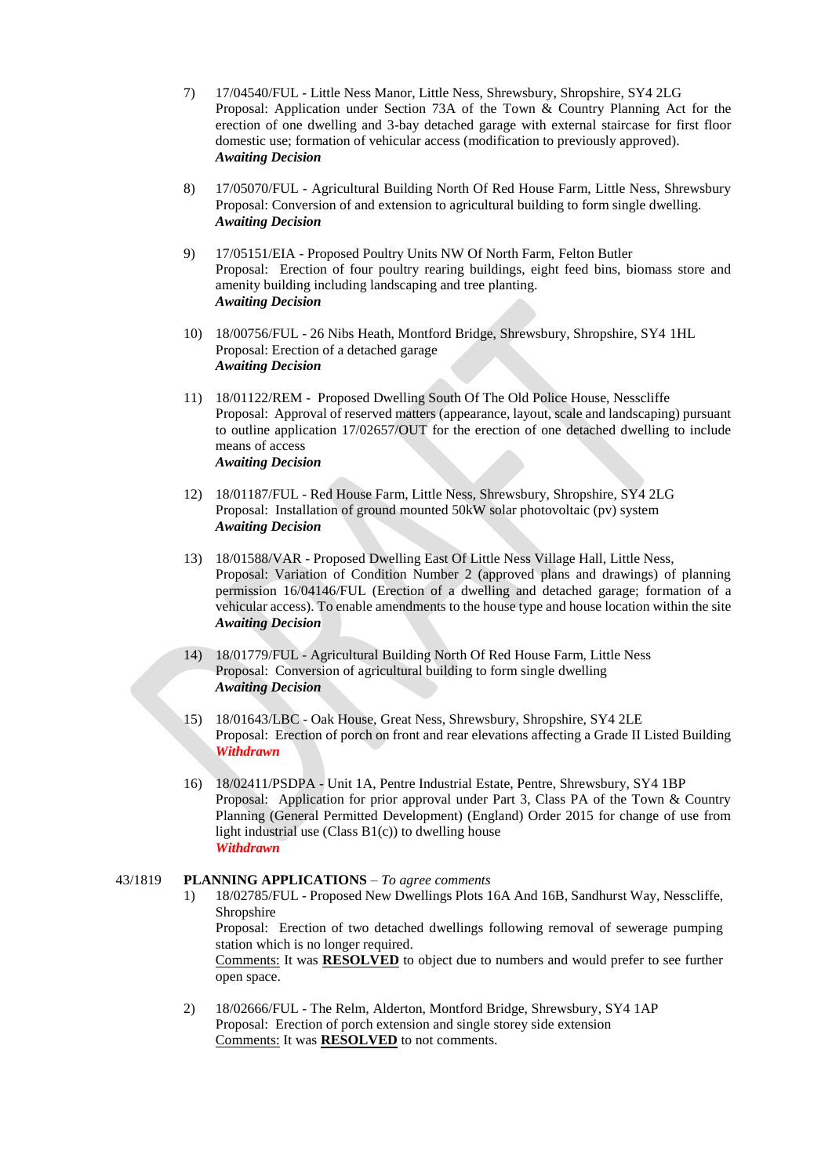- 7) 17/04540/FUL Little Ness Manor, Little Ness, Shrewsbury, Shropshire, SY4 2LG Proposal: Application under Section 73A of the Town & Country Planning Act for the erection of one dwelling and 3-bay detached garage with external staircase for first floor domestic use; formation of vehicular access (modification to previously approved). *Awaiting Decision*
- 8) 17/05070/FUL Agricultural Building North Of Red House Farm, Little Ness, Shrewsbury Proposal: Conversion of and extension to agricultural building to form single dwelling. *Awaiting Decision*
- 9) 17/05151/EIA Proposed Poultry Units NW Of North Farm, Felton Butler Proposal: Erection of four poultry rearing buildings, eight feed bins, biomass store and amenity building including landscaping and tree planting. *Awaiting Decision*
- 10) 18/00756/FUL 26 Nibs Heath, Montford Bridge, Shrewsbury, Shropshire, SY4 1HL Proposal: Erection of a detached garage *Awaiting Decision*
- 11) 18/01122/REM Proposed Dwelling South Of The Old Police House, Nesscliffe Proposal: Approval of reserved matters (appearance, layout, scale and landscaping) pursuant to outline application 17/02657/OUT for the erection of one detached dwelling to include means of access *Awaiting Decision*
- 12) 18/01187/FUL Red House Farm, Little Ness, Shrewsbury, Shropshire, SY4 2LG Proposal: Installation of ground mounted 50kW solar photovoltaic (pv) system *Awaiting Decision*
- 13) 18/01588/VAR Proposed Dwelling East Of Little Ness Village Hall, Little Ness, Proposal: Variation of Condition Number 2 (approved plans and drawings) of planning permission 16/04146/FUL (Erection of a dwelling and detached garage; formation of a vehicular access). To enable amendments to the house type and house location within the site *Awaiting Decision*
- 14) 18/01779/FUL Agricultural Building North Of Red House Farm, Little Ness Proposal: Conversion of agricultural building to form single dwelling *Awaiting Decision*
- 15) 18/01643/LBC Oak House, Great Ness, Shrewsbury, Shropshire, SY4 2LE Proposal: Erection of porch on front and rear elevations affecting a Grade II Listed Building *Withdrawn*
- 16) 18/02411/PSDPA Unit 1A, Pentre Industrial Estate, Pentre, Shrewsbury, SY4 1BP Proposal: Application for prior approval under Part 3, Class PA of the Town & Country Planning (General Permitted Development) (England) Order 2015 for change of use from light industrial use  $(Class B1(c))$  to dwelling house *Withdrawn*

#### 43/1819 **PLANNING APPLICATIONS** – *To agree comments*

1) 18/02785/FUL - Proposed New Dwellings Plots 16A And 16B, Sandhurst Way, Nesscliffe, Shropshire

Proposal: Erection of two detached dwellings following removal of sewerage pumping station which is no longer required.

Comments: It was **RESOLVED** to object due to numbers and would prefer to see further open space.

2) 18/02666/FUL - The Relm, Alderton, Montford Bridge, Shrewsbury, SY4 1AP Proposal: Erection of porch extension and single storey side extension Comments: It was **RESOLVED** to not comments.